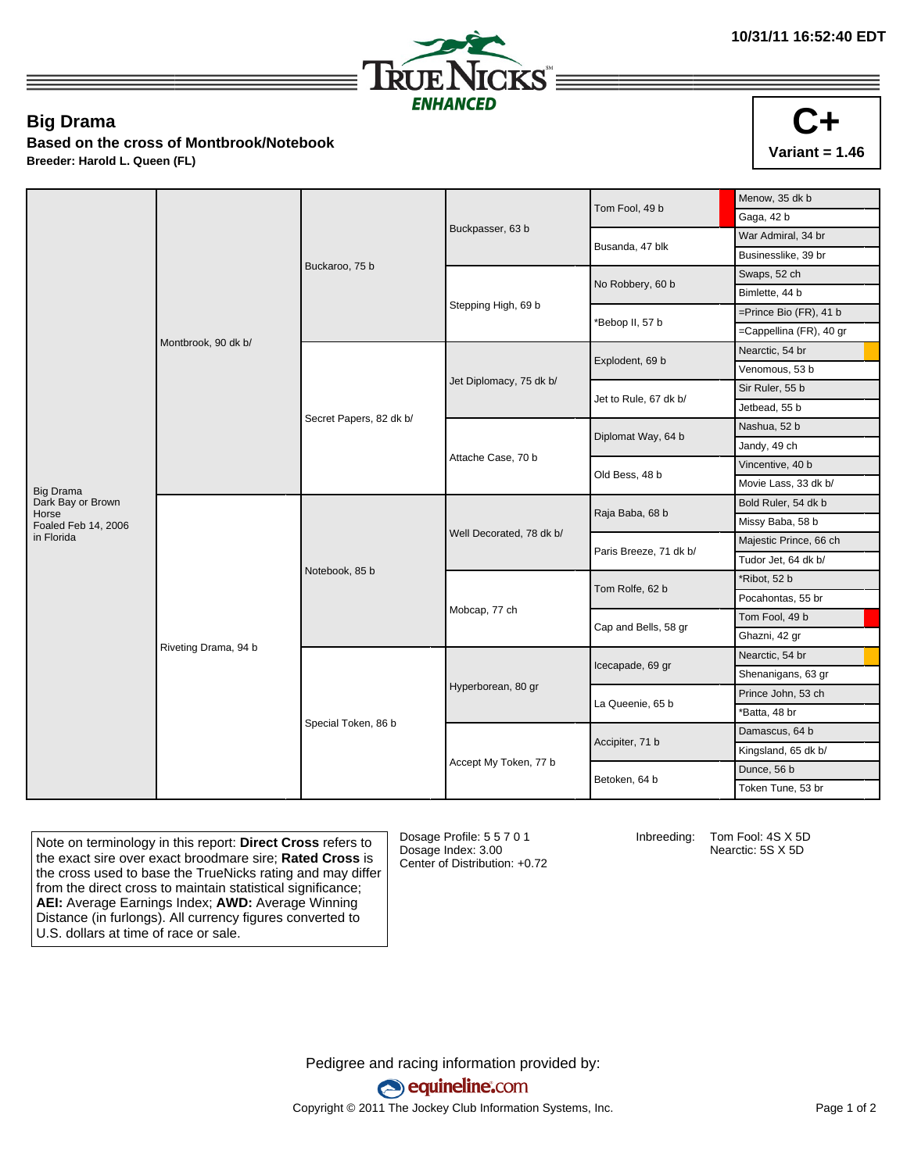

## **Big Drama**

**Based on the cross of Montbrook/Notebook**

**Breeder: Harold L. Queen (FL)**

|                            |                      |                         |                          | Tom Fool, 49 b         | Menow, 35 dk b            |
|----------------------------|----------------------|-------------------------|--------------------------|------------------------|---------------------------|
|                            | Montbrook, 90 dk b/  | Buckaroo, 75 b          |                          |                        | Gaga, 42 b                |
|                            |                      |                         | Buckpasser, 63 b         | Busanda, 47 blk        | War Admiral, 34 br        |
|                            |                      |                         |                          |                        | Businesslike, 39 br       |
|                            |                      |                         |                          | No Robbery, 60 b       | Swaps, 52 ch              |
|                            |                      |                         |                          |                        | Bimlette, 44 b            |
|                            |                      |                         | Stepping High, 69 b      | Bebop II, 57 b         | $=$ Prince Bio (FR), 41 b |
|                            |                      |                         |                          |                        | =Cappellina (FR), 40 gr   |
|                            |                      | Secret Papers, 82 dk b/ | Jet Diplomacy, 75 dk b/  | Explodent, 69 b        | Nearctic, 54 br           |
|                            |                      |                         |                          |                        | Venomous, 53 b            |
|                            |                      |                         |                          | Jet to Rule, 67 dk b/  | Sir Ruler, 55 b           |
|                            |                      |                         |                          |                        | Jetbead, 55 b             |
|                            |                      |                         | Attache Case, 70 b       | Diplomat Way, 64 b     | Nashua, 52 b              |
|                            |                      |                         |                          |                        | Jandy, 49 ch              |
|                            |                      |                         |                          | Old Bess, 48 b         | Vincentive, 40 b          |
| Big Drama                  |                      |                         |                          |                        | Movie Lass, 33 dk b/      |
| Dark Bay or Brown<br>Horse | Riveting Drama, 94 b | Notebook, 85 b          | Well Decorated, 78 dk b/ | Raja Baba, 68 b        | Bold Ruler, 54 dk b       |
| Foaled Feb 14, 2006        |                      |                         |                          |                        | Missy Baba, 58 b          |
| in Florida                 |                      |                         |                          | Paris Breeze, 71 dk b/ | Majestic Prince, 66 ch    |
|                            |                      |                         |                          |                        | Tudor Jet, 64 dk b/       |
|                            |                      |                         | Mobcap, 77 ch            | Tom Rolfe, 62 b        | Ribot, 52 b               |
|                            |                      |                         |                          |                        | Pocahontas, 55 br         |
|                            |                      |                         |                          | Cap and Bells, 58 gr   | Tom Fool, 49 b            |
|                            |                      |                         |                          |                        | Ghazni, 42 gr             |
|                            |                      | Special Token, 86 b     | Hyperborean, 80 gr       | Icecapade, 69 gr       | Nearctic, 54 br           |
|                            |                      |                         |                          |                        | Shenanigans, 63 gr        |
|                            |                      |                         |                          | La Queenie, 65 b       | Prince John, 53 ch        |
|                            |                      |                         |                          |                        | *Batta, 48 br             |
|                            |                      |                         |                          | Accipiter, 71 b        | Damascus, 64 b            |
|                            |                      |                         | Accept My Token, 77 b    |                        | Kingsland, 65 dk b/       |
|                            |                      |                         |                          |                        | Dunce, 56 b               |
|                            |                      |                         |                          | Betoken, 64 b          | Token Tune, 53 br         |
|                            |                      |                         |                          |                        |                           |

Note on terminology in this report: **Direct Cross** refers to the exact sire over exact broodmare sire; **Rated Cross** is the cross used to base the TrueNicks rating and may differ from the direct cross to maintain statistical significance; **AEI:** Average Earnings Index; **AWD:** Average Winning Distance (in furlongs). All currency figures converted to U.S. dollars at time of race or sale.

Dosage Profile: 5 5 7 0 1 Dosage Index: 3.00 Center of Distribution: +0.72 Inbreeding: Tom Fool: 4S X 5D

Nearctic: 5S X 5D

Pedigree and racing information provided by: equineline.com Copyright © 2011 The Jockey Club Information Systems, Inc. example 2012 Page 1 of 2